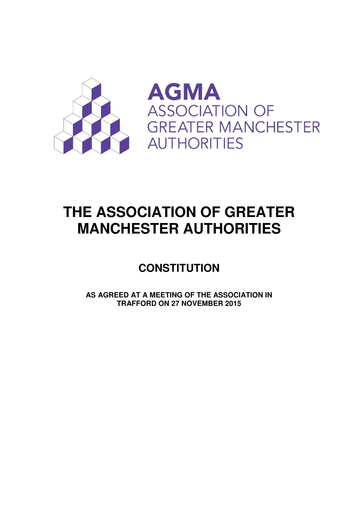



# **THE ASSOCIATION OF GREATER MANCHESTER AUTHORITIES**

## **CONSTITUTION**

**AS AGREED AT A MEETING OF THE ASSOCIATION IN TRAFFORD ON 27 NOVEMBER 2015**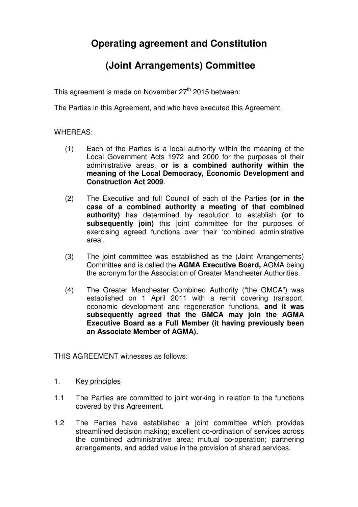## **Operating agreement and Constitution**

## **(Joint Arrangements) Committee**

This agreement is made on November 27<sup>th</sup> 2015 between:

The Parties in this Agreement, and who have executed this Agreement.

#### WHEREAS:

- (1) Each of the Parties is a local authority within the meaning of the Local Government Acts 1972 and 2000 for the purposes of their administrative areas, **or is a combined authority within the meaning of the Local Democracy, Economic Development and Construction Act 2009**.
- (2) The Executive and full Council of each of the Parties **(or in the case of a combined authority a meeting of that combined authority)** has determined by resolution to establish **(or to subsequently join)** this joint committee for the purposes of exercising agreed functions over their 'combined administrative area'.
- (3) The joint committee was established as the (Joint Arrangements) Committee and is called the **AGMA Executive Board,** AGMA being the acronym for the Association of Greater Manchester Authorities.
- (4) The Greater Manchester Combined Authority ("the GMCA") was established on 1 April 2011 with a remit covering transport, economic development and regeneration functions, **and it was subsequently agreed that the GMCA may join the AGMA Executive Board as a Full Member (it having previously been an Associate Member of AGMA).**

THIS AGREEMENT witnesses as follows:

- 1. Key principles
- 1.1 The Parties are committed to joint working in relation to the functions covered by this Agreement.
- 1.2 The Parties have established a joint committee which provides streamlined decision making; excellent co-ordination of services across the combined administrative area; mutual co-operation; partnering arrangements, and added value in the provision of shared services.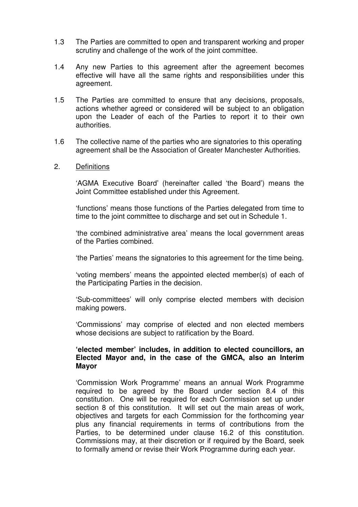- 1.3 The Parties are committed to open and transparent working and proper scrutiny and challenge of the work of the joint committee.
- 1.4 Any new Parties to this agreement after the agreement becomes effective will have all the same rights and responsibilities under this agreement.
- 1.5 The Parties are committed to ensure that any decisions, proposals, actions whether agreed or considered will be subject to an obligation upon the Leader of each of the Parties to report it to their own authorities.
- 1.6 The collective name of the parties who are signatories to this operating agreement shall be the Association of Greater Manchester Authorities.
- 2. Definitions

'AGMA Executive Board' (hereinafter called 'the Board') means the Joint Committee established under this Agreement.

'functions' means those functions of the Parties delegated from time to time to the joint committee to discharge and set out in Schedule 1.

'the combined administrative area' means the local government areas of the Parties combined.

'the Parties' means the signatories to this agreement for the time being.

'voting members' means the appointed elected member(s) of each of the Participating Parties in the decision.

'Sub-committees' will only comprise elected members with decision making powers.

'Commissions' may comprise of elected and non elected members whose decisions are subject to ratification by the Board.

#### **'elected member' includes, in addition to elected councillors, an Elected Mayor and, in the case of the GMCA, also an Interim Mayor**

'Commission Work Programme' means an annual Work Programme required to be agreed by the Board under section 8.4 of this constitution. One will be required for each Commission set up under section 8 of this constitution. It will set out the main areas of work, objectives and targets for each Commission for the forthcoming year plus any financial requirements in terms of contributions from the Parties, to be determined under clause 16.2 of this constitution. Commissions may, at their discretion or if required by the Board, seek to formally amend or revise their Work Programme during each year.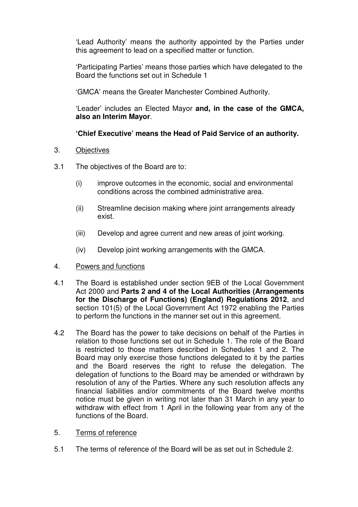'Lead Authority' means the authority appointed by the Parties under this agreement to lead on a specified matter or function.

'Participating Parties' means those parties which have delegated to the Board the functions set out in Schedule 1

'GMCA' means the Greater Manchester Combined Authority.

 'Leader' includes an Elected Mayor **and, in the case of the GMCA, also an Interim Mayor**.

#### **'Chief Executive' means the Head of Paid Service of an authority.**

- 3. Objectives
- 3.1 The objectives of the Board are to:
	- (i) improve outcomes in the economic, social and environmental conditions across the combined administrative area.
	- (ii) Streamline decision making where joint arrangements already exist.
	- (iii) Develop and agree current and new areas of joint working.
	- (iv) Develop joint working arrangements with the GMCA.
- 4. Powers and functions
- 4.1 The Board is established under section 9EB of the Local Government Act 2000 and **Parts 2 and 4 of the Local Authorities (Arrangements for the Discharge of Functions) (England) Regulations 2012**, and section 101(5) of the Local Government Act 1972 enabling the Parties to perform the functions in the manner set out in this agreement.
- 4.2 The Board has the power to take decisions on behalf of the Parties in relation to those functions set out in Schedule 1. The role of the Board is restricted to those matters described in Schedules 1 and 2. The Board may only exercise those functions delegated to it by the parties and the Board reserves the right to refuse the delegation. The delegation of functions to the Board may be amended or withdrawn by resolution of any of the Parties. Where any such resolution affects any financial liabilities and/or commitments of the Board twelve months notice must be given in writing not later than 31 March in any year to withdraw with effect from 1 April in the following year from any of the functions of the Board.
- 5. Terms of reference
- 5.1 The terms of reference of the Board will be as set out in Schedule 2.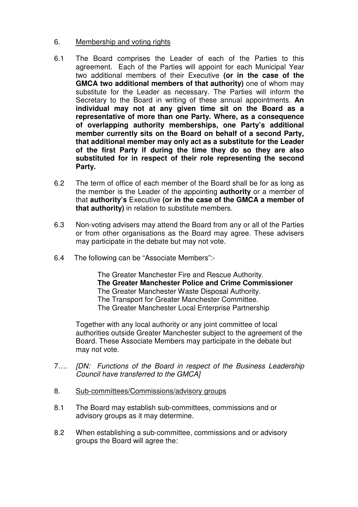#### 6. Membership and voting rights

- 6.1 The Board comprises the Leader of each of the Parties to this agreement. Each of the Parties will appoint for each Municipal Year two additional members of their Executive **(or in the case of the GMCA two additional members of that authority)** one of whom may substitute for the Leader as necessary. The Parties will inform the Secretary to the Board in writing of these annual appointments. **An individual may not at any given time sit on the Board as a representative of more than one Party. Where, as a consequence of overlapping authority memberships, one Party's additional member currently sits on the Board on behalf of a second Party, that additional member may only act as a substitute for the Leader of the first Party if during the time they do so they are also substituted for in respect of their role representing the second Party.**
- 6.2 The term of office of each member of the Board shall be for as long as the member is the Leader of the appointing **authority** or a member of that **authority's** Executive **(or in the case of the GMCA a member of that authority)** in relation to substitute members.
- 6.3 Non-voting advisers may attend the Board from any or all of the Parties or from other organisations as the Board may agree. These advisers may participate in the debate but may not vote.
- 6.4 The following can be "Associate Members":-

 The Greater Manchester Fire and Rescue Authority. **The Greater Manchester Police and Crime Commissioner**  The Greater Manchester Waste Disposal Authority. The Transport for Greater Manchester Committee. The Greater Manchester Local Enterprise Partnership

 Together with any local authority or any joint committee of local authorities outside Greater Manchester subject to the agreement of the Board. These Associate Members may participate in the debate but may not vote.

- 7…. [DN: Functions of the Board in respect of the Business Leadership Council have transferred to the GMCA]
- 8. Sub-committees/Commissions/advisory groups
- 8.1 The Board may establish sub-committees, commissions and or advisory groups as it may determine.
- 8.2 When establishing a sub-committee, commissions and or advisory groups the Board will agree the: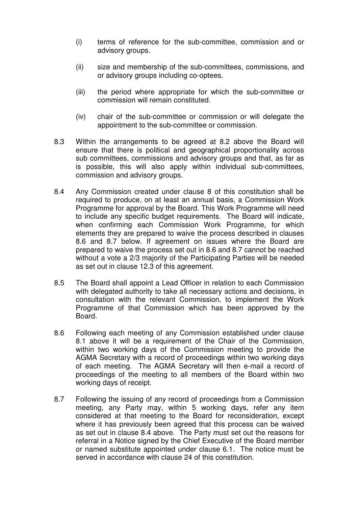- (i) terms of reference for the sub-committee, commission and or advisory groups.
- (ii) size and membership of the sub-committees, commissions, and or advisory groups including co-optees.
- (iii) the period where appropriate for which the sub-committee or commission will remain constituted.
- (iv) chair of the sub-committee or commission or will delegate the appointment to the sub-committee or commission.
- 8.3 Within the arrangements to be agreed at 8.2 above the Board will ensure that there is political and geographical proportionality across sub committees, commissions and advisory groups and that, as far as is possible, this will also apply within individual sub-committees, commission and advisory groups.
- 8.4 Any Commission created under clause 8 of this constitution shall be required to produce, on at least an annual basis, a Commission Work Programme for approval by the Board. This Work Programme will need to include any specific budget requirements. The Board will indicate, when confirming each Commission Work Programme, for which elements they are prepared to waive the process described in clauses 8.6 and 8.7 below. If agreement on issues where the Board are prepared to waive the process set out in 8.6 and 8.7 cannot be reached without a vote a 2/3 majority of the Participating Parties will be needed as set out in clause 12.3 of this agreement.
- 8.5 The Board shall appoint a Lead Officer in relation to each Commission with delegated authority to take all necessary actions and decisions, in consultation with the relevant Commission, to implement the Work Programme of that Commission which has been approved by the Board.
- 8.6 Following each meeting of any Commission established under clause 8.1 above it will be a requirement of the Chair of the Commission, within two working days of the Commission meeting to provide the AGMA Secretary with a record of proceedings within two working days of each meeting. The AGMA Secretary will then e-mail a record of proceedings of the meeting to all members of the Board within two working days of receipt.
- 8.7 Following the issuing of any record of proceedings from a Commission meeting, any Party may, within 5 working days, refer any item considered at that meeting to the Board for reconsideration, except where it has previously been agreed that this process can be waived as set out in clause 8.4 above. The Party must set out the reasons for referral in a Notice signed by the Chief Executive of the Board member or named substitute appointed under clause 6.1. The notice must be served in accordance with clause 24 of this constitution.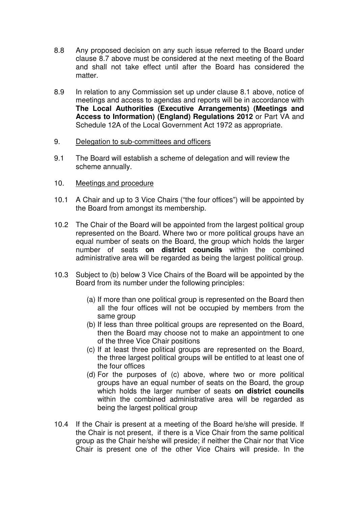- 8.8 Any proposed decision on any such issue referred to the Board under clause 8.7 above must be considered at the next meeting of the Board and shall not take effect until after the Board has considered the matter.
- 8.9 In relation to any Commission set up under clause 8.1 above, notice of meetings and access to agendas and reports will be in accordance with **The Local Authorities (Executive Arrangements) (Meetings and Access to Information) (England) Regulations 2012** or Part VA and Schedule 12A of the Local Government Act 1972 as appropriate.
- 9. Delegation to sub-committees and officers
- 9.1 The Board will establish a scheme of delegation and will review the scheme annually.
- 10. Meetings and procedure
- 10.1 A Chair and up to 3 Vice Chairs ("the four offices") will be appointed by the Board from amongst its membership.
- 10.2 The Chair of the Board will be appointed from the largest political group represented on the Board. Where two or more political groups have an equal number of seats on the Board, the group which holds the larger number of seats **on district councils** within the combined administrative area will be regarded as being the largest political group.
- 10.3 Subject to (b) below 3 Vice Chairs of the Board will be appointed by the Board from its number under the following principles:
	- (a) If more than one political group is represented on the Board then all the four offices will not be occupied by members from the same group
	- (b) If less than three political groups are represented on the Board, then the Board may choose not to make an appointment to one of the three Vice Chair positions
	- (c) If at least three political groups are represented on the Board, the three largest political groups will be entitled to at least one of the four offices
	- (d) For the purposes of (c) above, where two or more political groups have an equal number of seats on the Board, the group which holds the larger number of seats **on district councils**  within the combined administrative area will be regarded as being the largest political group
- 10.4 If the Chair is present at a meeting of the Board he/she will preside. If the Chair is not present, if there is a Vice Chair from the same political group as the Chair he/she will preside; if neither the Chair nor that Vice Chair is present one of the other Vice Chairs will preside. In the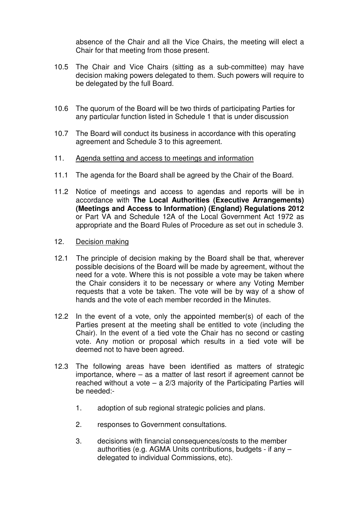absence of the Chair and all the Vice Chairs, the meeting will elect a Chair for that meeting from those present.

- 10.5 The Chair and Vice Chairs (sitting as a sub-committee) may have decision making powers delegated to them. Such powers will require to be delegated by the full Board.
- 10.6 The quorum of the Board will be two thirds of participating Parties for any particular function listed in Schedule 1 that is under discussion
- 10.7 The Board will conduct its business in accordance with this operating agreement and Schedule 3 to this agreement.
- 11. Agenda setting and access to meetings and information
- 11.1 The agenda for the Board shall be agreed by the Chair of the Board.
- 11.2 Notice of meetings and access to agendas and reports will be in accordance with **The Local Authorities (Executive Arrangements) (Meetings and Access to Information) (England) Regulations 2012** or Part VA and Schedule 12A of the Local Government Act 1972 as appropriate and the Board Rules of Procedure as set out in schedule 3.
- 12. Decision making
- 12.1 The principle of decision making by the Board shall be that, wherever possible decisions of the Board will be made by agreement, without the need for a vote. Where this is not possible a vote may be taken where the Chair considers it to be necessary or where any Voting Member requests that a vote be taken. The vote will be by way of a show of hands and the vote of each member recorded in the Minutes.
- 12.2 In the event of a vote, only the appointed member(s) of each of the Parties present at the meeting shall be entitled to vote (including the Chair). In the event of a tied vote the Chair has no second or casting vote. Any motion or proposal which results in a tied vote will be deemed not to have been agreed.
- 12.3 The following areas have been identified as matters of strategic importance, where – as a matter of last resort if agreement cannot be reached without a vote – a 2/3 majority of the Participating Parties will be needed:-
	- 1. adoption of sub regional strategic policies and plans.
	- 2. responses to Government consultations.
	- 3. decisions with financial consequences/costs to the member authorities (e.g. AGMA Units contributions, budgets - if any – delegated to individual Commissions, etc).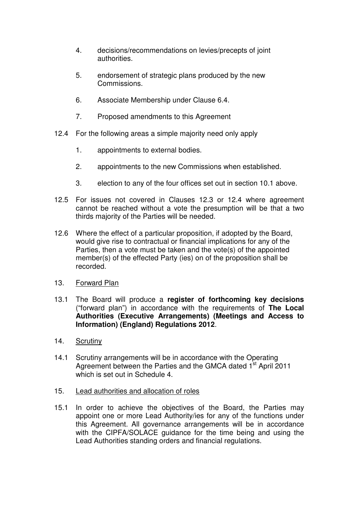- 4. decisions/recommendations on levies/precepts of joint authorities.
- 5. endorsement of strategic plans produced by the new Commissions.
- 6. Associate Membership under Clause 6.4.
- 7. Proposed amendments to this Agreement
- 12.4 For the following areas a simple majority need only apply
	- 1. appointments to external bodies.
	- 2. appointments to the new Commissions when established.
	- 3. election to any of the four offices set out in section 10.1 above.
- 12.5 For issues not covered in Clauses 12.3 or 12.4 where agreement cannot be reached without a vote the presumption will be that a two thirds majority of the Parties will be needed.
- 12.6 Where the effect of a particular proposition, if adopted by the Board, would give rise to contractual or financial implications for any of the Parties, then a vote must be taken and the vote(s) of the appointed member(s) of the effected Party (ies) on of the proposition shall be recorded.
- 13. Forward Plan
- 13.1 The Board will produce a **register of forthcoming key decisions** ("forward plan") in accordance with the requirements of **The Local Authorities (Executive Arrangements) (Meetings and Access to Information) (England) Regulations 2012**.
- 14. Scrutiny
- 14.1 Scrutiny arrangements will be in accordance with the Operating Agreement between the Parties and the GMCA dated 1<sup>st</sup> April 2011 which is set out in Schedule 4.
- 15. Lead authorities and allocation of roles
- 15.1 In order to achieve the objectives of the Board, the Parties may appoint one or more Lead Authority/ies for any of the functions under this Agreement. All governance arrangements will be in accordance with the CIPFA/SOLACE guidance for the time being and using the Lead Authorities standing orders and financial regulations.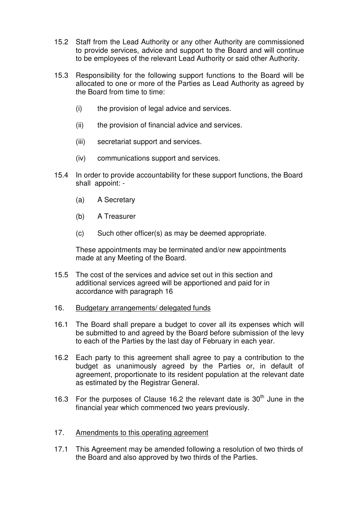- 15.2 Staff from the Lead Authority or any other Authority are commissioned to provide services, advice and support to the Board and will continue to be employees of the relevant Lead Authority or said other Authority.
- 15.3 Responsibility for the following support functions to the Board will be allocated to one or more of the Parties as Lead Authority as agreed by the Board from time to time:
	- (i) the provision of legal advice and services.
	- (ii) the provision of financial advice and services.
	- (iii) secretariat support and services.
	- (iv) communications support and services.
- 15.4 In order to provide accountability for these support functions, the Board shall appoint: -
	- (a) A Secretary
	- (b) A Treasurer
	- (c) Such other officer(s) as may be deemed appropriate.

These appointments may be terminated and/or new appointments made at any Meeting of the Board.

- 15.5 The cost of the services and advice set out in this section and additional services agreed will be apportioned and paid for in accordance with paragraph 16
- 16. Budgetary arrangements/ delegated funds
- 16.1 The Board shall prepare a budget to cover all its expenses which will be submitted to and agreed by the Board before submission of the levy to each of the Parties by the last day of February in each year.
- 16.2 Each party to this agreement shall agree to pay a contribution to the budget as unanimously agreed by the Parties or, in default of agreement, proportionate to its resident population at the relevant date as estimated by the Registrar General.
- 16.3 For the purposes of Clause 16.2 the relevant date is  $30<sup>th</sup>$  June in the financial year which commenced two years previously.
- 17. Amendments to this operating agreement
- 17.1 This Agreement may be amended following a resolution of two thirds of the Board and also approved by two thirds of the Parties.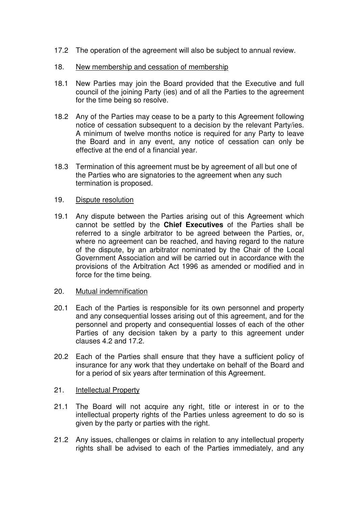- 17.2 The operation of the agreement will also be subject to annual review.
- 18. New membership and cessation of membership
- 18.1 New Parties may join the Board provided that the Executive and full council of the joining Party (ies) and of all the Parties to the agreement for the time being so resolve.
- 18.2 Any of the Parties may cease to be a party to this Agreement following notice of cessation subsequent to a decision by the relevant Party/ies. A minimum of twelve months notice is required for any Party to leave the Board and in any event, any notice of cessation can only be effective at the end of a financial year.
- 18.3 Termination of this agreement must be by agreement of all but one of the Parties who are signatories to the agreement when any such termination is proposed.
- 19. Dispute resolution
- 19.1 Any dispute between the Parties arising out of this Agreement which cannot be settled by the **Chief Executives** of the Parties shall be referred to a single arbitrator to be agreed between the Parties, or, where no agreement can be reached, and having regard to the nature of the dispute, by an arbitrator nominated by the Chair of the Local Government Association and will be carried out in accordance with the provisions of the Arbitration Act 1996 as amended or modified and in force for the time being.
- 20. Mutual indemnification
- 20.1 Each of the Parties is responsible for its own personnel and property and any consequential losses arising out of this agreement, and for the personnel and property and consequential losses of each of the other Parties of any decision taken by a party to this agreement under clauses 4.2 and 17.2.
- 20.2 Each of the Parties shall ensure that they have a sufficient policy of insurance for any work that they undertake on behalf of the Board and for a period of six years after termination of this Agreement.
- 21. Intellectual Property
- 21.1 The Board will not acquire any right, title or interest in or to the intellectual property rights of the Parties unless agreement to do so is given by the party or parties with the right.
- 21.2 Any issues, challenges or claims in relation to any intellectual property rights shall be advised to each of the Parties immediately, and any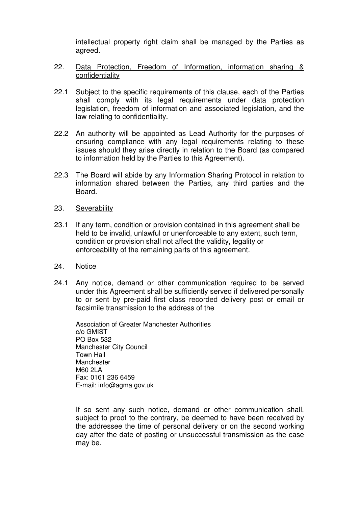intellectual property right claim shall be managed by the Parties as agreed.

#### 22. Data Protection, Freedom of Information, information sharing & confidentiality

- 22.1 Subject to the specific requirements of this clause, each of the Parties shall comply with its legal requirements under data protection legislation, freedom of information and associated legislation, and the law relating to confidentiality.
- 22.2 An authority will be appointed as Lead Authority for the purposes of ensuring compliance with any legal requirements relating to these issues should they arise directly in relation to the Board (as compared to information held by the Parties to this Agreement).
- 22.3 The Board will abide by any Information Sharing Protocol in relation to information shared between the Parties, any third parties and the Board.

#### 23. Severability

23.1 If any term, condition or provision contained in this agreement shall be held to be invalid, unlawful or unenforceable to any extent, such term, condition or provision shall not affect the validity, legality or enforceability of the remaining parts of this agreement.

#### 24. Notice

24.1 Any notice, demand or other communication required to be served under this Agreement shall be sufficiently served if delivered personally to or sent by pre-paid first class recorded delivery post or email or facsimile transmission to the address of the

Association of Greater Manchester Authorities c/o GMIST PO Box 532 Manchester City Council Town Hall Manchester M60 2LA Fax: 0161 236 6459 E-mail: info@agma.gov.uk

 If so sent any such notice, demand or other communication shall, subject to proof to the contrary, be deemed to have been received by the addressee the time of personal delivery or on the second working day after the date of posting or unsuccessful transmission as the case may be.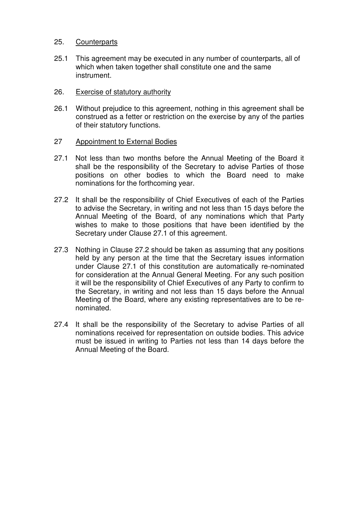#### 25. Counterparts

- 25.1 This agreement may be executed in any number of counterparts, all of which when taken together shall constitute one and the same instrument.
- 26. Exercise of statutory authority
- 26.1 Without prejudice to this agreement, nothing in this agreement shall be construed as a fetter or restriction on the exercise by any of the parties of their statutory functions.
- 27 Appointment to External Bodies
- 27.1 Not less than two months before the Annual Meeting of the Board it shall be the responsibility of the Secretary to advise Parties of those positions on other bodies to which the Board need to make nominations for the forthcoming year.
- 27.2 It shall be the responsibility of Chief Executives of each of the Parties to advise the Secretary, in writing and not less than 15 days before the Annual Meeting of the Board, of any nominations which that Party wishes to make to those positions that have been identified by the Secretary under Clause 27.1 of this agreement.
- 27.3 Nothing in Clause 27.2 should be taken as assuming that any positions held by any person at the time that the Secretary issues information under Clause 27.1 of this constitution are automatically re-nominated for consideration at the Annual General Meeting. For any such position it will be the responsibility of Chief Executives of any Party to confirm to the Secretary, in writing and not less than 15 days before the Annual Meeting of the Board, where any existing representatives are to be renominated.
- 27.4 It shall be the responsibility of the Secretary to advise Parties of all nominations received for representation on outside bodies. This advice must be issued in writing to Parties not less than 14 days before the Annual Meeting of the Board.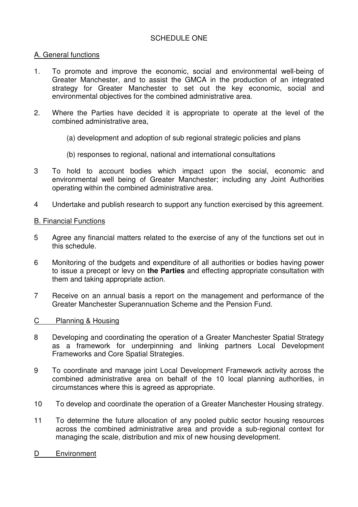#### SCHEDULE ONE

#### A. General functions

- 1. To promote and improve the economic, social and environmental well-being of Greater Manchester, and to assist the GMCA in the production of an integrated strategy for Greater Manchester to set out the key economic, social and environmental objectives for the combined administrative area.
- 2. Where the Parties have decided it is appropriate to operate at the level of the combined administrative area,
	- (a) development and adoption of sub regional strategic policies and plans
	- (b) responses to regional, national and international consultations
- 3 To hold to account bodies which impact upon the social, economic and environmental well being of Greater Manchester; including any Joint Authorities operating within the combined administrative area.
- 4 Undertake and publish research to support any function exercised by this agreement.

#### B. Financial Functions

- 5 Agree any financial matters related to the exercise of any of the functions set out in this schedule.
- 6 Monitoring of the budgets and expenditure of all authorities or bodies having power to issue a precept or levy on **the Parties** and effecting appropriate consultation with them and taking appropriate action.
- 7 Receive on an annual basis a report on the management and performance of the Greater Manchester Superannuation Scheme and the Pension Fund.
- C Planning & Housing
- 8 Developing and coordinating the operation of a Greater Manchester Spatial Strategy as a framework for underpinning and linking partners Local Development Frameworks and Core Spatial Strategies.
- 9 To coordinate and manage joint Local Development Framework activity across the combined administrative area on behalf of the 10 local planning authorities, in circumstances where this is agreed as appropriate.
- 10 To develop and coordinate the operation of a Greater Manchester Housing strategy.
- 11 To determine the future allocation of any pooled public sector housing resources across the combined administrative area and provide a sub-regional context for managing the scale, distribution and mix of new housing development.
- D Environment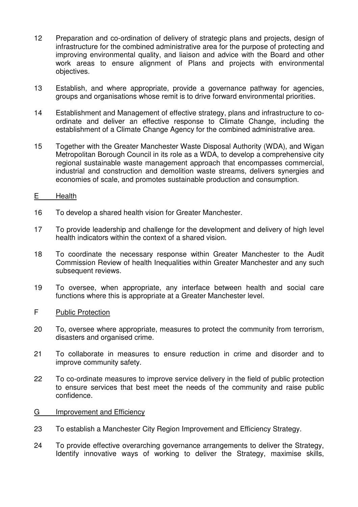- 12 Preparation and co-ordination of delivery of strategic plans and projects, design of infrastructure for the combined administrative area for the purpose of protecting and improving environmental quality, and liaison and advice with the Board and other work areas to ensure alignment of Plans and projects with environmental objectives.
- 13 Establish, and where appropriate, provide a governance pathway for agencies, groups and organisations whose remit is to drive forward environmental priorities.
- 14 Establishment and Management of effective strategy, plans and infrastructure to coordinate and deliver an effective response to Climate Change, including the establishment of a Climate Change Agency for the combined administrative area.
- 15 Together with the Greater Manchester Waste Disposal Authority (WDA), and Wigan Metropolitan Borough Council in its role as a WDA, to develop a comprehensive city regional sustainable waste management approach that encompasses commercial, industrial and construction and demolition waste streams, delivers synergies and economies of scale, and promotes sustainable production and consumption.

#### E Health

- 16 To develop a shared health vision for Greater Manchester.
- 17 To provide leadership and challenge for the development and delivery of high level health indicators within the context of a shared vision.
- 18 To coordinate the necessary response within Greater Manchester to the Audit Commission Review of health Inequalities within Greater Manchester and any such subsequent reviews.
- 19 To oversee, when appropriate, any interface between health and social care functions where this is appropriate at a Greater Manchester level.

#### F Public Protection

- 20 To, oversee where appropriate, measures to protect the community from terrorism, disasters and organised crime.
- 21 To collaborate in measures to ensure reduction in crime and disorder and to improve community safety.
- 22 To co-ordinate measures to improve service delivery in the field of public protection to ensure services that best meet the needs of the community and raise public confidence.

#### G Improvement and Efficiency

- 23 To establish a Manchester City Region Improvement and Efficiency Strategy.
- 24 To provide effective overarching governance arrangements to deliver the Strategy, Identify innovative ways of working to deliver the Strategy, maximise skills,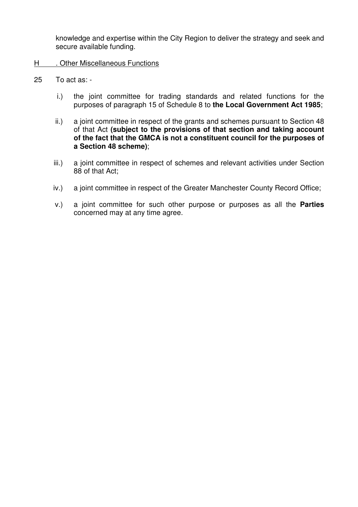knowledge and expertise within the City Region to deliver the strategy and seek and secure available funding.

- H . Other Miscellaneous Functions
- 25 To act as:
	- i.) the joint committee for trading standards and related functions for the purposes of paragraph 15 of Schedule 8 to **the Local Government Act 1985**;
	- ii.) a joint committee in respect of the grants and schemes pursuant to Section 48 of that Act **(subject to the provisions of that section and taking account of the fact that the GMCA is not a constituent council for the purposes of a Section 48 scheme)**;
	- iii.) a joint committee in respect of schemes and relevant activities under Section 88 of that Act;
	- iv.) a joint committee in respect of the Greater Manchester County Record Office;
	- v.) a joint committee for such other purpose or purposes as all the **Parties** concerned may at any time agree.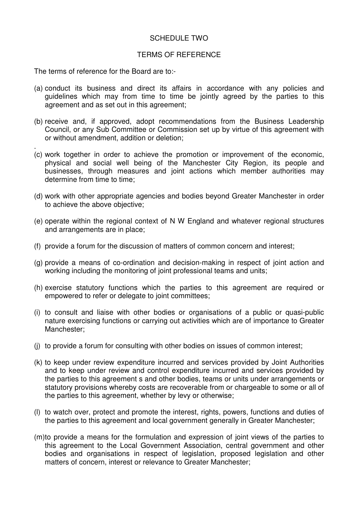#### SCHEDULE TWO

#### TERMS OF REFERENCE

The terms of reference for the Board are to:-

- (a) conduct its business and direct its affairs in accordance with any policies and guidelines which may from time to time be jointly agreed by the parties to this agreement and as set out in this agreement;
- (b) receive and, if approved, adopt recommendations from the Business Leadership Council, or any Sub Committee or Commission set up by virtue of this agreement with or without amendment, addition or deletion;
- . (c) work together in order to achieve the promotion or improvement of the economic, physical and social well being of the Manchester City Region, its people and businesses, through measures and joint actions which member authorities may determine from time to time;
- (d) work with other appropriate agencies and bodies beyond Greater Manchester in order to achieve the above objective;
- (e) operate within the regional context of N W England and whatever regional structures and arrangements are in place;
- (f) provide a forum for the discussion of matters of common concern and interest;
- (g) provide a means of co-ordination and decision-making in respect of joint action and working including the monitoring of joint professional teams and units;
- (h) exercise statutory functions which the parties to this agreement are required or empowered to refer or delegate to joint committees;
- (i) to consult and liaise with other bodies or organisations of a public or quasi-public nature exercising functions or carrying out activities which are of importance to Greater Manchester;
- (j) to provide a forum for consulting with other bodies on issues of common interest;
- (k) to keep under review expenditure incurred and services provided by Joint Authorities and to keep under review and control expenditure incurred and services provided by the parties to this agreement s and other bodies, teams or units under arrangements or statutory provisions whereby costs are recoverable from or chargeable to some or all of the parties to this agreement, whether by levy or otherwise;
- (l) to watch over, protect and promote the interest, rights, powers, functions and duties of the parties to this agreement and local government generally in Greater Manchester;
- (m)to provide a means for the formulation and expression of joint views of the parties to this agreement to the Local Government Association, central government and other bodies and organisations in respect of legislation, proposed legislation and other matters of concern, interest or relevance to Greater Manchester;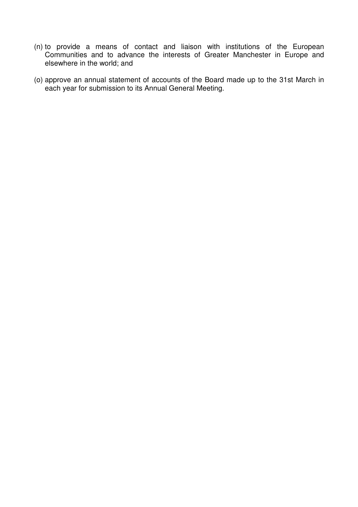- (n) to provide a means of contact and liaison with institutions of the European Communities and to advance the interests of Greater Manchester in Europe and elsewhere in the world; and
- (o) approve an annual statement of accounts of the Board made up to the 31st March in each year for submission to its Annual General Meeting.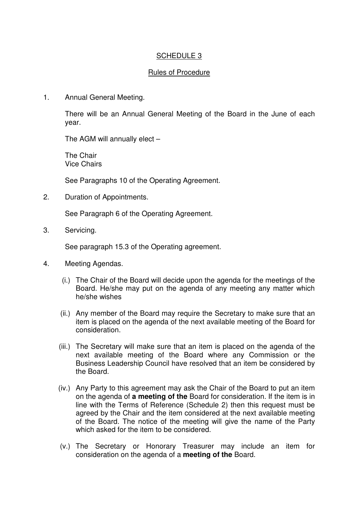#### SCHEDULE 3

#### Rules of Procedure

1. Annual General Meeting.

There will be an Annual General Meeting of the Board in the June of each year.

The AGM will annually elect –

The Chair Vice Chairs

See Paragraphs 10 of the Operating Agreement.

2. Duration of Appointments.

See Paragraph 6 of the Operating Agreement.

3. Servicing.

See paragraph 15.3 of the Operating agreement.

- 4. Meeting Agendas.
	- (i.) The Chair of the Board will decide upon the agenda for the meetings of the Board. He/she may put on the agenda of any meeting any matter which he/she wishes
	- (ii.) Any member of the Board may require the Secretary to make sure that an item is placed on the agenda of the next available meeting of the Board for consideration.
	- (iii.) The Secretary will make sure that an item is placed on the agenda of the next available meeting of the Board where any Commission or the Business Leadership Council have resolved that an item be considered by the Board.
	- (iv.) Any Party to this agreement may ask the Chair of the Board to put an item on the agenda of **a meeting of the** Board for consideration. If the item is in line with the Terms of Reference (Schedule 2) then this request must be agreed by the Chair and the item considered at the next available meeting of the Board. The notice of the meeting will give the name of the Party which asked for the item to be considered.
	- (v.) The Secretary or Honorary Treasurer may include an item for consideration on the agenda of a **meeting of the** Board.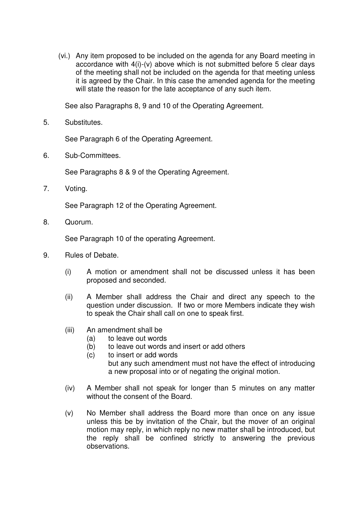(vi.) Any item proposed to be included on the agenda for any Board meeting in accordance with 4(i)-(v) above which is not submitted before 5 clear days of the meeting shall not be included on the agenda for that meeting unless it is agreed by the Chair. In this case the amended agenda for the meeting will state the reason for the late acceptance of any such item.

See also Paragraphs 8, 9 and 10 of the Operating Agreement.

5. Substitutes.

See Paragraph 6 of the Operating Agreement.

6. Sub-Committees.

See Paragraphs 8 & 9 of the Operating Agreement.

7. Voting.

See Paragraph 12 of the Operating Agreement.

8. Quorum.

See Paragraph 10 of the operating Agreement.

- 9. Rules of Debate.
	- (i) A motion or amendment shall not be discussed unless it has been proposed and seconded.
	- (ii) A Member shall address the Chair and direct any speech to the question under discussion. If two or more Members indicate they wish to speak the Chair shall call on one to speak first.
	- (iii) An amendment shall be
		- (a) to leave out words
		- (b) to leave out words and insert or add others
		- (c) to insert or add words but any such amendment must not have the effect of introducing a new proposal into or of negating the original motion.
	- (iv) A Member shall not speak for longer than 5 minutes on any matter without the consent of the Board.
	- (v) No Member shall address the Board more than once on any issue unless this be by invitation of the Chair, but the mover of an original motion may reply, in which reply no new matter shall be introduced, but the reply shall be confined strictly to answering the previous observations.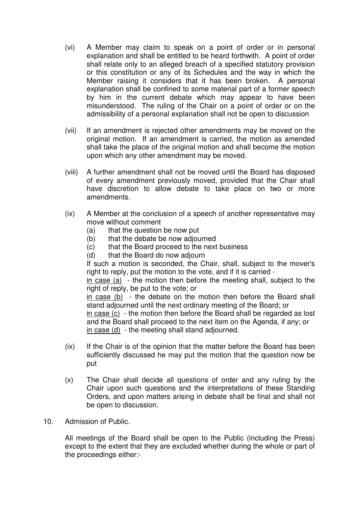- (vi) A Member may claim to speak on a point of order or in personal explanation and shall be entitled to be heard forthwith. A point of order shall relate only to an alleged breach of a specified statutory provision or this constitution or any of its Schedules and the way in which the Member raising it considers that it has been broken. A personal explanation shall be confined to some material part of a former speech by him in the current debate which may appear to have been misunderstood. The ruling of the Chair on a point of order or on the admissibility of a personal explanation shall not be open to discussion
- (vii) If an amendment is rejected other amendments may be moved on the original motion. If an amendment is carried, the motion as amended shall take the place of the original motion and shall become the motion upon which any other amendment may be moved.
- (viii) A further amendment shall not be moved until the Board has disposed of every amendment previously moved, provided that the Chair shall have discretion to allow debate to take place on two or more amendments.
- (ix) A Member at the conclusion of a speech of another representative may move without comment
	- (a) that the question be now put
	- (b) that the debate be now adjourned
	- (c) that the Board proceed to the next business
	- (d) that the Board do now adjourn

 If such a motion is seconded, the Chair, shall, subject to the mover's right to reply, put the motion to the vote, and if it is carried -

 $\frac{1}{2}$  in case (a) - the motion then before the meeting shall, subject to the right of reply, be put to the vote; or

 in case (b) - the debate on the motion then before the Board shall stand adjourned until the next ordinary meeting of the Board; or

 in case (c) - the motion then before the Board shall be regarded as lost and the Board shall proceed to the next item on the Agenda, if any; or in case (d) - the meeting shall stand adjourned.

- (ix) If the Chair is of the opinion that the matter before the Board has been sufficiently discussed he may put the motion that the question now be put
- (x) The Chair shall decide all questions of order and any ruling by the Chair upon such questions and the interpretations of these Standing Orders, and upon matters arising in debate shall be final and shall not be open to discussion.
- 10. Admission of Public.

All meetings of the Board shall be open to the Public (including the Press) except to the extent that they are excluded whether during the whole or part of the proceedings either:-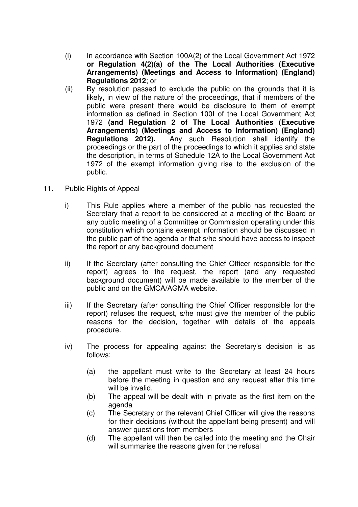- (i) In accordance with Section 100A(2) of the Local Government Act 1972 **or Regulation 4(2)(a) of the The Local Authorities (Executive Arrangements) (Meetings and Access to Information) (England) Regulations 2012**; or
- (ii) By resolution passed to exclude the public on the grounds that it is likely, in view of the nature of the proceedings, that if members of the public were present there would be disclosure to them of exempt information as defined in Section 100I of the Local Government Act 1972 **(and Regulation 2 of The Local Authorities (Executive Arrangements) (Meetings and Access to Information) (England) Regulations 2012).** Any such Resolution shall identify the proceedings or the part of the proceedings to which it applies and state the description, in terms of Schedule 12A to the Local Government Act 1972 of the exempt information giving rise to the exclusion of the public.
- 11. Public Rights of Appeal
	- i) This Rule applies where a member of the public has requested the Secretary that a report to be considered at a meeting of the Board or any public meeting of a Committee or Commission operating under this constitution which contains exempt information should be discussed in the public part of the agenda or that s/he should have access to inspect the report or any background document
	- ii) If the Secretary (after consulting the Chief Officer responsible for the report) agrees to the request, the report (and any requested background document) will be made available to the member of the public and on the GMCA/AGMA website.
	- iii) If the Secretary (after consulting the Chief Officer responsible for the report) refuses the request, s/he must give the member of the public reasons for the decision, together with details of the appeals procedure.
	- iv) The process for appealing against the Secretary's decision is as follows:
		- (a) the appellant must write to the Secretary at least 24 hours before the meeting in question and any request after this time will be invalid.
		- (b) The appeal will be dealt with in private as the first item on the agenda
		- (c) The Secretary or the relevant Chief Officer will give the reasons for their decisions (without the appellant being present) and will answer questions from members
		- (d) The appellant will then be called into the meeting and the Chair will summarise the reasons given for the refusal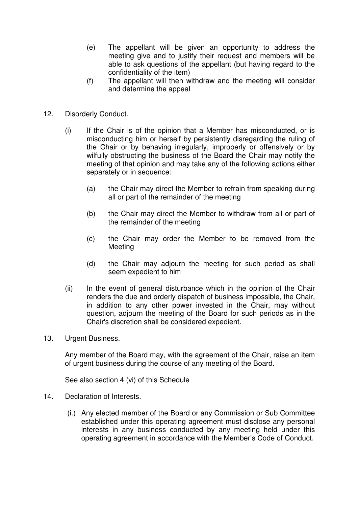- (e) The appellant will be given an opportunity to address the meeting give and to justify their request and members will be able to ask questions of the appellant (but having regard to the confidentiality of the item)
- (f) The appellant will then withdraw and the meeting will consider and determine the appeal
- 12. Disorderly Conduct.
	- (i) If the Chair is of the opinion that a Member has misconducted, or is misconducting him or herself by persistently disregarding the ruling of the Chair or by behaving irregularly, improperly or offensively or by wilfully obstructing the business of the Board the Chair may notify the meeting of that opinion and may take any of the following actions either separately or in sequence:
		- (a) the Chair may direct the Member to refrain from speaking during all or part of the remainder of the meeting
		- (b) the Chair may direct the Member to withdraw from all or part of the remainder of the meeting
		- (c) the Chair may order the Member to be removed from the Meeting
		- (d) the Chair may adjourn the meeting for such period as shall seem expedient to him
	- (ii) In the event of general disturbance which in the opinion of the Chair renders the due and orderly dispatch of business impossible, the Chair, in addition to any other power invested in the Chair, may without question, adjourn the meeting of the Board for such periods as in the Chair's discretion shall be considered expedient.
- 13. Urgent Business.

Any member of the Board may, with the agreement of the Chair, raise an item of urgent business during the course of any meeting of the Board.

See also section 4 (vi) of this Schedule

- 14. Declaration of Interests.
	- (i.) Any elected member of the Board or any Commission or Sub Committee established under this operating agreement must disclose any personal interests in any business conducted by any meeting held under this operating agreement in accordance with the Member's Code of Conduct.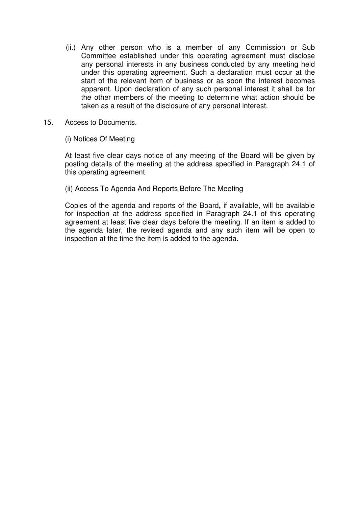- (ii.) Any other person who is a member of any Commission or Sub Committee established under this operating agreement must disclose any personal interests in any business conducted by any meeting held under this operating agreement. Such a declaration must occur at the start of the relevant item of business or as soon the interest becomes apparent. Upon declaration of any such personal interest it shall be for the other members of the meeting to determine what action should be taken as a result of the disclosure of any personal interest.
- 15. Access to Documents.
	- (i) Notices Of Meeting

At least five clear days notice of any meeting of the Board will be given by posting details of the meeting at the address specified in Paragraph 24.1 of this operating agreement

(ii) Access To Agenda And Reports Before The Meeting

Copies of the agenda and reports of the Board**,** if available, will be available for inspection at the address specified in Paragraph 24.1 of this operating agreement at least five clear days before the meeting. If an item is added to the agenda later, the revised agenda and any such item will be open to inspection at the time the item is added to the agenda.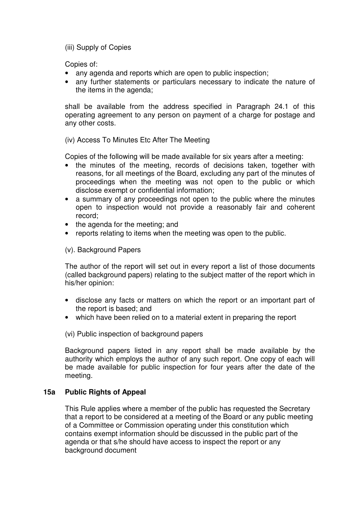(iii) Supply of Copies

Copies of:

- any agenda and reports which are open to public inspection;
- any further statements or particulars necessary to indicate the nature of the items in the agenda;

shall be available from the address specified in Paragraph 24.1 of this operating agreement to any person on payment of a charge for postage and any other costs.

#### (iv) Access To Minutes Etc After The Meeting

Copies of the following will be made available for six years after a meeting:

- the minutes of the meeting, records of decisions taken, together with reasons, for all meetings of the Board, excluding any part of the minutes of proceedings when the meeting was not open to the public or which disclose exempt or confidential information;
- a summary of any proceedings not open to the public where the minutes open to inspection would not provide a reasonably fair and coherent record;
- the agenda for the meeting; and
- reports relating to items when the meeting was open to the public.

(v). Background Papers

The author of the report will set out in every report a list of those documents (called background papers) relating to the subject matter of the report which in his/her opinion:

- disclose any facts or matters on which the report or an important part of the report is based; and
- which have been relied on to a material extent in preparing the report

(vi) Public inspection of background papers

Background papers listed in any report shall be made available by the authority which employs the author of any such report. One copy of each will be made available for public inspection for four years after the date of the meeting.

#### **15a Public Rights of Appeal**

This Rule applies where a member of the public has requested the Secretary that a report to be considered at a meeting of the Board or any public meeting of a Committee or Commission operating under this constitution which contains exempt information should be discussed in the public part of the agenda or that s/he should have access to inspect the report or any background document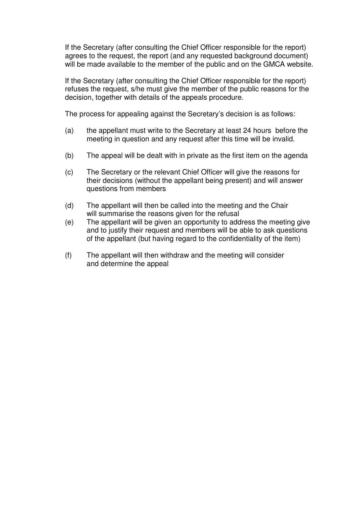If the Secretary (after consulting the Chief Officer responsible for the report) agrees to the request, the report (and any requested background document) will be made available to the member of the public and on the GMCA website.

If the Secretary (after consulting the Chief Officer responsible for the report) refuses the request, s/he must give the member of the public reasons for the decision, together with details of the appeals procedure.

The process for appealing against the Secretary's decision is as follows:

- (a) the appellant must write to the Secretary at least 24 hours before the meeting in question and any request after this time will be invalid.
- (b) The appeal will be dealt with in private as the first item on the agenda
- (c) The Secretary or the relevant Chief Officer will give the reasons for their decisions (without the appellant being present) and will answer questions from members
- (d) The appellant will then be called into the meeting and the Chair will summarise the reasons given for the refusal
- (e) The appellant will be given an opportunity to address the meeting give and to justify their request and members will be able to ask questions of the appellant (but having regard to the confidentiality of the item)
- (f) The appellant will then withdraw and the meeting will consider and determine the appeal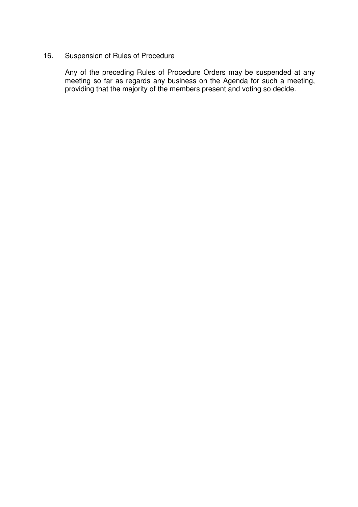#### 16. Suspension of Rules of Procedure

 Any of the preceding Rules of Procedure Orders may be suspended at any meeting so far as regards any business on the Agenda for such a meeting, providing that the majority of the members present and voting so decide.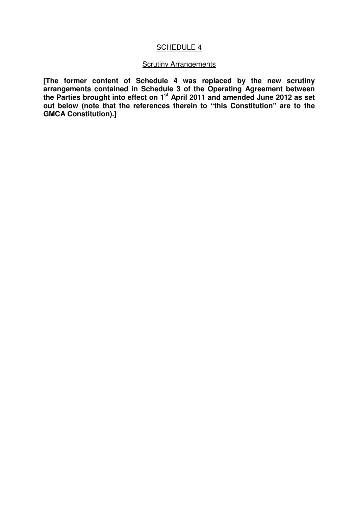#### SCHEDULE 4

#### **Scrutiny Arrangements**

**[The former content of Schedule 4 was replaced by the new scrutiny arrangements contained in Schedule 3 of the Operating Agreement between the Parties brought into effect on 1st April 2011 and amended June 2012 as set out below (note that the references therein to "this Constitution" are to the GMCA Constitution).]**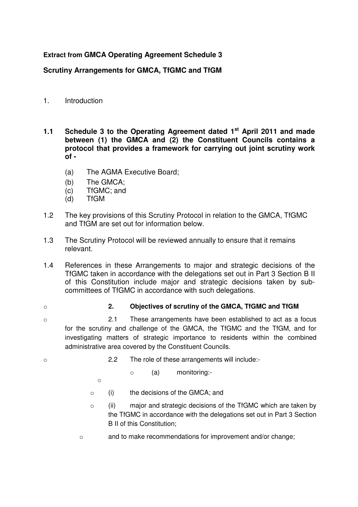#### **Extract from GMCA Operating Agreement Schedule 3**

#### **Scrutiny Arrangements for GMCA, TfGMC and TfGM**

- 1. Introduction
- **1.1 Schedule 3 to the Operating Agreement dated 1st April 2011 and made between (1) the GMCA and (2) the Constituent Councils contains a protocol that provides a framework for carrying out joint scrutiny work of -** 
	- (a) The AGMA Executive Board;
	- (b) The GMCA;
	- (c) TfGMC; and
	- (d) TfGM
- 1.2 The key provisions of this Scrutiny Protocol in relation to the GMCA, TfGMC and TfGM are set out for information below.
- 1.3 The Scrutiny Protocol will be reviewed annually to ensure that it remains relevant.
- 1.4 References in these Arrangements to major and strategic decisions of the TfGMC taken in accordance with the delegations set out in Part 3 Section B II of this Constitution include major and strategic decisions taken by subcommittees of TfGMC in accordance with such delegations.
- 

#### o **2. Objectives of scrutiny of the GMCA, TfGMC and TfGM**

- o 2.1 These arrangements have been established to act as a focus for the scrutiny and challenge of the GMCA, the TfGMC and the TfGM, and for investigating matters of strategic importance to residents within the combined administrative area covered by the Constituent Councils.
- 
- o 2.2 The role of these arrangements will include:
	- o (a) monitoring:-
	- o
	- o (i) the decisions of the GMCA; and
	- $\circ$  (ii) major and strategic decisions of the TfGMC which are taken by the TfGMC in accordance with the delegations set out in Part 3 Section B II of this Constitution;
	- o and to make recommendations for improvement and/or change;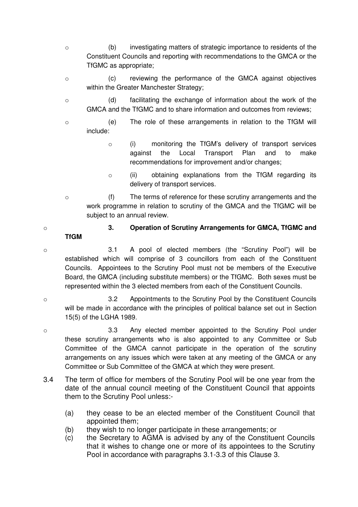- o (b) investigating matters of strategic importance to residents of the Constituent Councils and reporting with recommendations to the GMCA or the TfGMC as appropriate;
- o (c) reviewing the performance of the GMCA against objectives within the Greater Manchester Strategy;
- o (d) facilitating the exchange of information about the work of the GMCA and the TfGMC and to share information and outcomes from reviews;
- o (e) The role of these arrangements in relation to the TfGM will include:
	- o (i) monitoring the TfGM's delivery of transport services against the Local Transport Plan and to make recommendations for improvement and/or changes;
	- o (ii) obtaining explanations from the TfGM regarding its delivery of transport services.
- o (f) The terms of reference for these scrutiny arrangements and the work programme in relation to scrutiny of the GMCA and the TfGMC will be subject to an annual review.

### **TfGM**

- o **3. Operation of Scrutiny Arrangements for GMCA, TfGMC and**
- o 3.1 A pool of elected members (the "Scrutiny Pool") will be established which will comprise of 3 councillors from each of the Constituent Councils. Appointees to the Scrutiny Pool must not be members of the Executive Board, the GMCA (including substitute members) or the TfGMC. Both sexes must be represented within the 3 elected members from each of the Constituent Councils.
- o 3.2 Appointments to the Scrutiny Pool by the Constituent Councils will be made in accordance with the principles of political balance set out in Section 15(5) of the LGHA 1989.
- o 3.3 Any elected member appointed to the Scrutiny Pool under these scrutiny arrangements who is also appointed to any Committee or Sub Committee of the GMCA cannot participate in the operation of the scrutiny arrangements on any issues which were taken at any meeting of the GMCA or any Committee or Sub Committee of the GMCA at which they were present.
- 3.4 The term of office for members of the Scrutiny Pool will be one year from the date of the annual council meeting of the Constituent Council that appoints them to the Scrutiny Pool unless:-
	- (a) they cease to be an elected member of the Constituent Council that appointed them;
	- (b) they wish to no longer participate in these arrangements; or
	- (c) the Secretary to AGMA is advised by any of the Constituent Councils that it wishes to change one or more of its appointees to the Scrutiny Pool in accordance with paragraphs 3.1-3.3 of this Clause 3.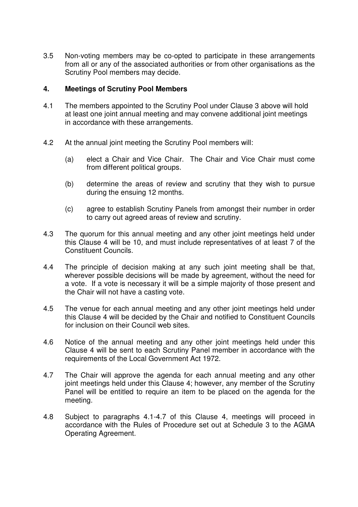3.5 Non-voting members may be co-opted to participate in these arrangements from all or any of the associated authorities or from other organisations as the Scrutiny Pool members may decide.

#### **4. Meetings of Scrutiny Pool Members**

- 4.1 The members appointed to the Scrutiny Pool under Clause 3 above will hold at least one joint annual meeting and may convene additional joint meetings in accordance with these arrangements.
- 4.2 At the annual joint meeting the Scrutiny Pool members will:
	- (a) elect a Chair and Vice Chair. The Chair and Vice Chair must come from different political groups.
	- (b) determine the areas of review and scrutiny that they wish to pursue during the ensuing 12 months.
	- (c) agree to establish Scrutiny Panels from amongst their number in order to carry out agreed areas of review and scrutiny.
- 4.3 The quorum for this annual meeting and any other joint meetings held under this Clause 4 will be 10, and must include representatives of at least 7 of the Constituent Councils.
- 4.4 The principle of decision making at any such joint meeting shall be that, wherever possible decisions will be made by agreement, without the need for a vote. If a vote is necessary it will be a simple majority of those present and the Chair will not have a casting vote.
- 4.5 The venue for each annual meeting and any other joint meetings held under this Clause 4 will be decided by the Chair and notified to Constituent Councils for inclusion on their Council web sites.
- 4.6 Notice of the annual meeting and any other joint meetings held under this Clause 4 will be sent to each Scrutiny Panel member in accordance with the requirements of the Local Government Act 1972.
- 4.7 The Chair will approve the agenda for each annual meeting and any other joint meetings held under this Clause 4; however, any member of the Scrutiny Panel will be entitled to require an item to be placed on the agenda for the meeting.
- 4.8 Subject to paragraphs 4.1-4.7 of this Clause 4, meetings will proceed in accordance with the Rules of Procedure set out at Schedule 3 to the AGMA Operating Agreement.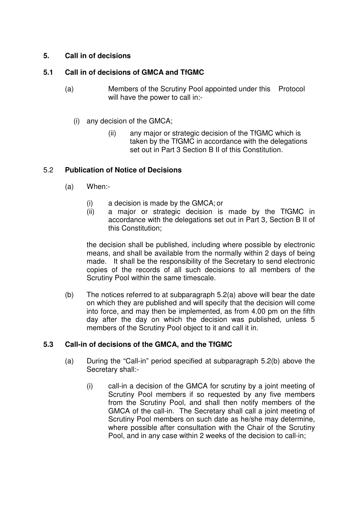#### **5. Call in of decisions**

#### **5.1 Call in of decisions of GMCA and TfGMC**

- (a) Members of the Scrutiny Pool appointed under this Protocol will have the power to call in:-
	- (i) any decision of the GMCA;
		- (ii) any major or strategic decision of the TfGMC which is taken by the TfGMC in accordance with the delegations set out in Part 3 Section B II of this Constitution.

#### 5.2 **Publication of Notice of Decisions**

- (a) When:-
	- (i) a decision is made by the GMCA; or
	- (ii) a major or strategic decision is made by the TfGMC in accordance with the delegations set out in Part 3, Section B II of this Constitution;

the decision shall be published, including where possible by electronic means, and shall be available from the normally within 2 days of being made. It shall be the responsibility of the Secretary to send electronic copies of the records of all such decisions to all members of the Scrutiny Pool within the same timescale.

(b) The notices referred to at subparagraph 5.2(a) above will bear the date on which they are published and will specify that the decision will come into force, and may then be implemented, as from 4.00 pm on the fifth day after the day on which the decision was published, unless 5 members of the Scrutiny Pool object to it and call it in.

#### **5.3 Call-in of decisions of the GMCA, and the TfGMC**

- (a) During the "Call-in" period specified at subparagraph 5.2(b) above the Secretary shall:-
	- (i) call-in a decision of the GMCA for scrutiny by a joint meeting of Scrutiny Pool members if so requested by any five members from the Scrutiny Pool, and shall then notify members of the GMCA of the call-in. The Secretary shall call a joint meeting of Scrutiny Pool members on such date as he/she may determine, where possible after consultation with the Chair of the Scrutiny Pool, and in any case within 2 weeks of the decision to call-in;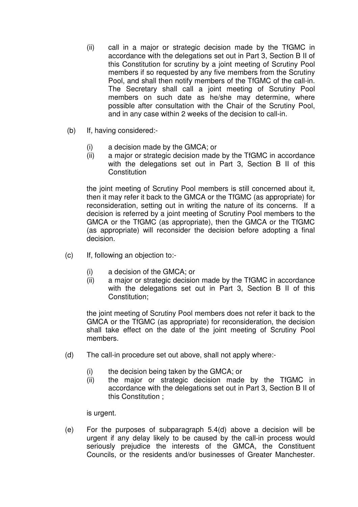- (ii) call in a major or strategic decision made by the TfGMC in accordance with the delegations set out in Part 3, Section B II of this Constitution for scrutiny by a joint meeting of Scrutiny Pool members if so requested by any five members from the Scrutiny Pool, and shall then notify members of the TfGMC of the call-in. The Secretary shall call a joint meeting of Scrutiny Pool members on such date as he/she may determine, where possible after consultation with the Chair of the Scrutiny Pool, and in any case within 2 weeks of the decision to call-in.
- (b) If, having considered:-
	- (i) a decision made by the GMCA; or
	- (ii) a major or strategic decision made by the TfGMC in accordance with the delegations set out in Part 3, Section B II of this **Constitution**

the joint meeting of Scrutiny Pool members is still concerned about it, then it may refer it back to the GMCA or the TfGMC (as appropriate) for reconsideration, setting out in writing the nature of its concerns. If a decision is referred by a joint meeting of Scrutiny Pool members to the GMCA or the TfGMC (as appropriate), then the GMCA or the TfGMC (as appropriate) will reconsider the decision before adopting a final decision.

- (c) If, following an objection to:-
	- (i) a decision of the GMCA; or
	- (ii) a major or strategic decision made by the TfGMC in accordance with the delegations set out in Part 3, Section B II of this Constitution;

the joint meeting of Scrutiny Pool members does not refer it back to the GMCA or the TfGMC (as appropriate) for reconsideration, the decision shall take effect on the date of the joint meeting of Scrutiny Pool members.

- (d) The call-in procedure set out above, shall not apply where:-
	- (i) the decision being taken by the GMCA; or
	- (ii) the major or strategic decision made by the TfGMC in accordance with the delegations set out in Part 3, Section B II of this Constitution ;

is urgent.

(e) For the purposes of subparagraph 5.4(d) above a decision will be urgent if any delay likely to be caused by the call-in process would seriously prejudice the interests of the GMCA, the Constituent Councils, or the residents and/or businesses of Greater Manchester.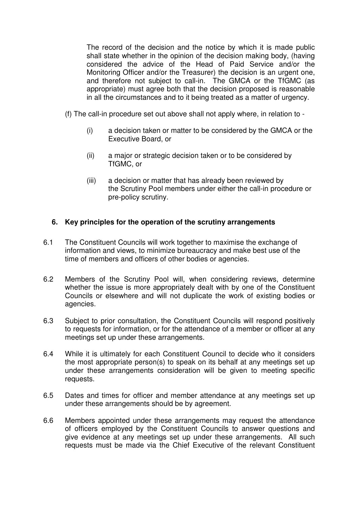The record of the decision and the notice by which it is made public shall state whether in the opinion of the decision making body, (having considered the advice of the Head of Paid Service and/or the Monitoring Officer and/or the Treasurer) the decision is an urgent one, and therefore not subject to call-in. The GMCA or the TfGMC (as appropriate) must agree both that the decision proposed is reasonable in all the circumstances and to it being treated as a matter of urgency.

- (f) The call-in procedure set out above shall not apply where, in relation to
	- (i) a decision taken or matter to be considered by the GMCA or the Executive Board, or
	- (ii) a major or strategic decision taken or to be considered by TfGMC, or
	- (iii) a decision or matter that has already been reviewed by the Scrutiny Pool members under either the call-in procedure or pre-policy scrutiny.

#### **6. Key principles for the operation of the scrutiny arrangements**

- 6.1 The Constituent Councils will work together to maximise the exchange of information and views, to minimize bureaucracy and make best use of the time of members and officers of other bodies or agencies.
- 6.2 Members of the Scrutiny Pool will, when considering reviews, determine whether the issue is more appropriately dealt with by one of the Constituent Councils or elsewhere and will not duplicate the work of existing bodies or agencies.
- 6.3 Subject to prior consultation, the Constituent Councils will respond positively to requests for information, or for the attendance of a member or officer at any meetings set up under these arrangements.
- 6.4 While it is ultimately for each Constituent Council to decide who it considers the most appropriate person(s) to speak on its behalf at any meetings set up under these arrangements consideration will be given to meeting specific requests.
- 6.5 Dates and times for officer and member attendance at any meetings set up under these arrangements should be by agreement.
- 6.6 Members appointed under these arrangements may request the attendance of officers employed by the Constituent Councils to answer questions and give evidence at any meetings set up under these arrangements. All such requests must be made via the Chief Executive of the relevant Constituent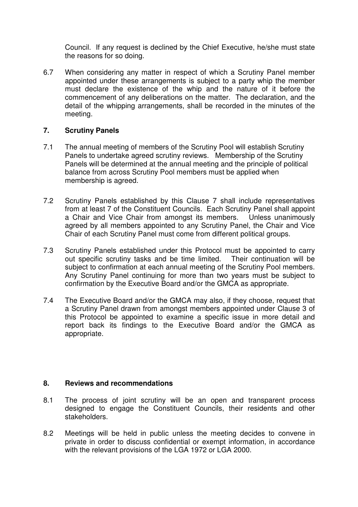Council. If any request is declined by the Chief Executive, he/she must state the reasons for so doing.

6.7 When considering any matter in respect of which a Scrutiny Panel member appointed under these arrangements is subject to a party whip the member must declare the existence of the whip and the nature of it before the commencement of any deliberations on the matter. The declaration, and the detail of the whipping arrangements, shall be recorded in the minutes of the meeting.

#### **7. Scrutiny Panels**

- 7.1 The annual meeting of members of the Scrutiny Pool will establish Scrutiny Panels to undertake agreed scrutiny reviews. Membership of the Scrutiny Panels will be determined at the annual meeting and the principle of political balance from across Scrutiny Pool members must be applied when membership is agreed.
- 7.2 Scrutiny Panels established by this Clause 7 shall include representatives from at least 7 of the Constituent Councils. Each Scrutiny Panel shall appoint a Chair and Vice Chair from amongst its members. Unless unanimously agreed by all members appointed to any Scrutiny Panel, the Chair and Vice Chair of each Scrutiny Panel must come from different political groups.
- 7.3 Scrutiny Panels established under this Protocol must be appointed to carry out specific scrutiny tasks and be time limited. Their continuation will be subject to confirmation at each annual meeting of the Scrutiny Pool members. Any Scrutiny Panel continuing for more than two years must be subject to confirmation by the Executive Board and/or the GMCA as appropriate.
- 7.4 The Executive Board and/or the GMCA may also, if they choose, request that a Scrutiny Panel drawn from amongst members appointed under Clause 3 of this Protocol be appointed to examine a specific issue in more detail and report back its findings to the Executive Board and/or the GMCA as appropriate.

#### **8. Reviews and recommendations**

- 8.1 The process of joint scrutiny will be an open and transparent process designed to engage the Constituent Councils, their residents and other stakeholders.
- 8.2 Meetings will be held in public unless the meeting decides to convene in private in order to discuss confidential or exempt information, in accordance with the relevant provisions of the LGA 1972 or LGA 2000.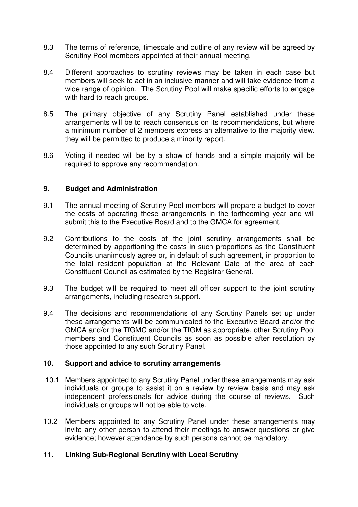- 8.3 The terms of reference, timescale and outline of any review will be agreed by Scrutiny Pool members appointed at their annual meeting.
- 8.4 Different approaches to scrutiny reviews may be taken in each case but members will seek to act in an inclusive manner and will take evidence from a wide range of opinion. The Scrutiny Pool will make specific efforts to engage with hard to reach groups.
- 8.5 The primary objective of any Scrutiny Panel established under these arrangements will be to reach consensus on its recommendations, but where a minimum number of 2 members express an alternative to the majority view, they will be permitted to produce a minority report.
- 8.6 Voting if needed will be by a show of hands and a simple majority will be required to approve any recommendation.

#### **9. Budget and Administration**

- 9.1 The annual meeting of Scrutiny Pool members will prepare a budget to cover the costs of operating these arrangements in the forthcoming year and will submit this to the Executive Board and to the GMCA for agreement.
- 9.2 Contributions to the costs of the joint scrutiny arrangements shall be determined by apportioning the costs in such proportions as the Constituent Councils unanimously agree or, in default of such agreement, in proportion to the total resident population at the Relevant Date of the area of each Constituent Council as estimated by the Registrar General.
- 9.3 The budget will be required to meet all officer support to the joint scrutiny arrangements, including research support.
- 9.4 The decisions and recommendations of any Scrutiny Panels set up under these arrangements will be communicated to the Executive Board and/or the GMCA and/or the TfGMC and/or the TfGM as appropriate, other Scrutiny Pool members and Constituent Councils as soon as possible after resolution by those appointed to any such Scrutiny Panel.

#### **10. Support and advice to scrutiny arrangements**

- 10.1 Members appointed to any Scrutiny Panel under these arrangements may ask individuals or groups to assist it on a review by review basis and may ask independent professionals for advice during the course of reviews. Such individuals or groups will not be able to vote.
- 10.2 Members appointed to any Scrutiny Panel under these arrangements may invite any other person to attend their meetings to answer questions or give evidence; however attendance by such persons cannot be mandatory.

#### **11. Linking Sub-Regional Scrutiny with Local Scrutiny**